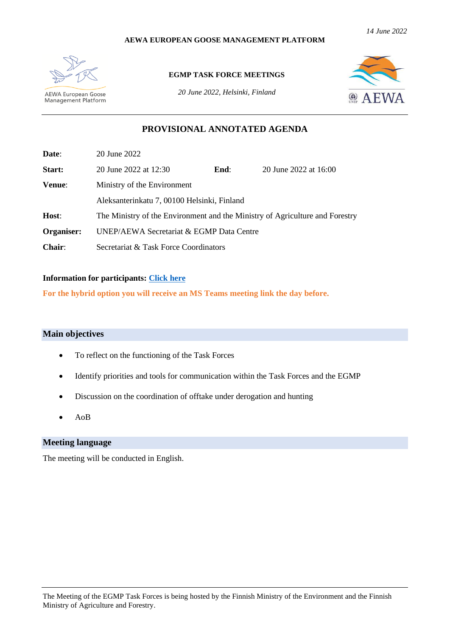#### **AEWA EUROPEAN GOOSE MANAGEMENT PLATFORM**



**AEWA European Goose**<br>Management Platform

#### **EGMP TASK FORCE MEETINGS**

*20 June 2022, Helsinki, Finland*



# **PROVISIONAL ANNOTATED AGENDA**

| Date:      | 20 June 2022                                                                 |      |                       |  |  |
|------------|------------------------------------------------------------------------------|------|-----------------------|--|--|
| Start:     | 20 June 2022 at 12:30                                                        | End: | 20 June 2022 at 16:00 |  |  |
| Venue:     | Ministry of the Environment                                                  |      |                       |  |  |
|            | Aleksanterinkatu 7, 00100 Helsinki, Finland                                  |      |                       |  |  |
| Host:      | The Ministry of the Environment and the Ministry of Agriculture and Forestry |      |                       |  |  |
| Organiser: | UNEP/AEWA Secretariat & EGMP Data Centre                                     |      |                       |  |  |
| $Chair:$   | Secretariat & Task Force Coordinators                                        |      |                       |  |  |

#### **Information for participants: [Click here](https://egmp.aewa.info/sites/default/files/meeting_files/information_documents/aewa_egm_iwg7_inf_7_1_info_sheet_for_participants.pdf)**

**For the hybrid option you will receive an MS Teams meeting link the day before.** 

### **Main objectives**

- To reflect on the functioning of the Task Forces
- Identify priorities and tools for communication within the Task Forces and the EGMP
- Discussion on the coordination of offtake under derogation and hunting
- AoB

## **Meeting language**

The meeting will be conducted in English.